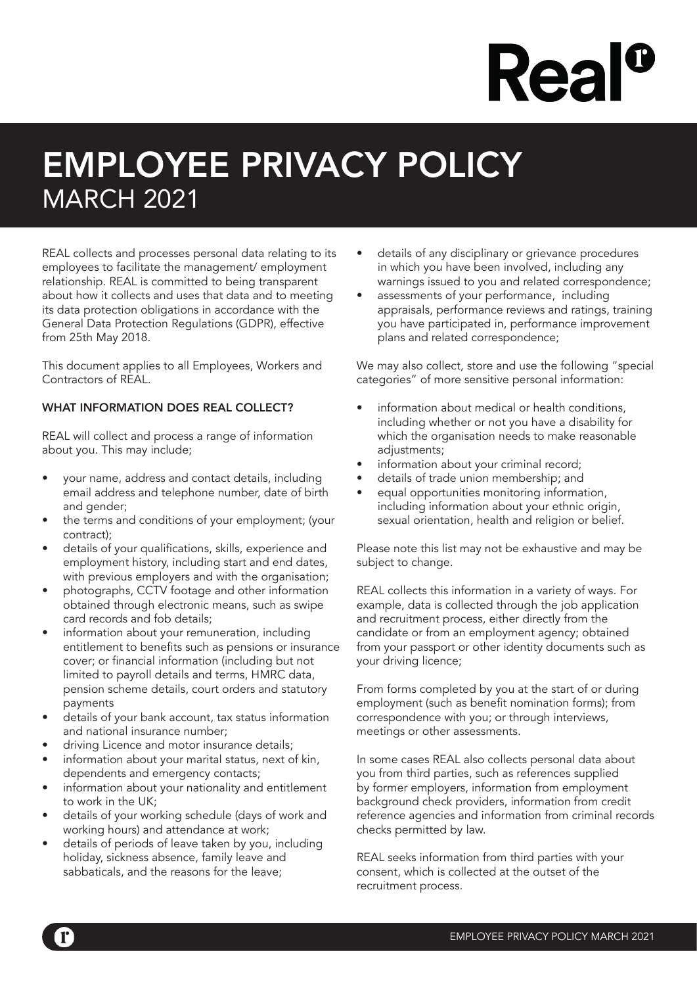# **Rea**

### EMPLOYEE PRIVACY POLICY MARCH 2021

REAL collects and processes personal data relating to its employees to facilitate the management/ employment relationship. REAL is committed to being transparent about how it collects and uses that data and to meeting its data protection obligations in accordance with the General Data Protection Regulations (GDPR), effective from 25th May 2018.

This document applies to all Employees, Workers and Contractors of REAL.

#### WHAT INFORMATION DOES REAL COLLECT?

REAL will collect and process a range of information about you. This may include;

- your name, address and contact details, including email address and telephone number, date of birth and gender:
- the terms and conditions of your employment; (your contract);
- details of your qualifications, skills, experience and employment history, including start and end dates, with previous employers and with the organisation;
- photographs, CCTV footage and other information obtained through electronic means, such as swipe card records and fob details;
- information about your remuneration, including entitlement to benefits such as pensions or insurance cover; or financial information (including but not limited to payroll details and terms, HMRC data, pension scheme details, court orders and statutory payments
- details of your bank account, tax status information and national insurance number;
- driving Licence and motor insurance details;
- information about your marital status, next of kin, dependents and emergency contacts;
- information about your nationality and entitlement to work in the UK;
- details of your working schedule (days of work and working hours) and attendance at work;
- details of periods of leave taken by you, including holiday, sickness absence, family leave and sabbaticals, and the reasons for the leave;
- details of any disciplinary or grievance procedures in which you have been involved, including any warnings issued to you and related correspondence;
- assessments of your performance, including appraisals, performance reviews and ratings, training you have participated in, performance improvement plans and related correspondence;

We may also collect, store and use the following "special categories" of more sensitive personal information:

- information about medical or health conditions. including whether or not you have a disability for which the organisation needs to make reasonable adjustments;
- information about your criminal record;
- details of trade union membership; and
- equal opportunities monitoring information, including information about your ethnic origin, sexual orientation, health and religion or belief.

Please note this list may not be exhaustive and may be subject to change.

REAL collects this information in a variety of ways. For example, data is collected through the job application and recruitment process, either directly from the candidate or from an employment agency; obtained from your passport or other identity documents such as your driving licence;

From forms completed by you at the start of or during employment (such as benefit nomination forms); from correspondence with you; or through interviews, meetings or other assessments.

In some cases REAL also collects personal data about you from third parties, such as references supplied by former employers, information from employment background check providers, information from credit reference agencies and information from criminal records checks permitted by law.

REAL seeks information from third parties with your consent, which is collected at the outset of the recruitment process.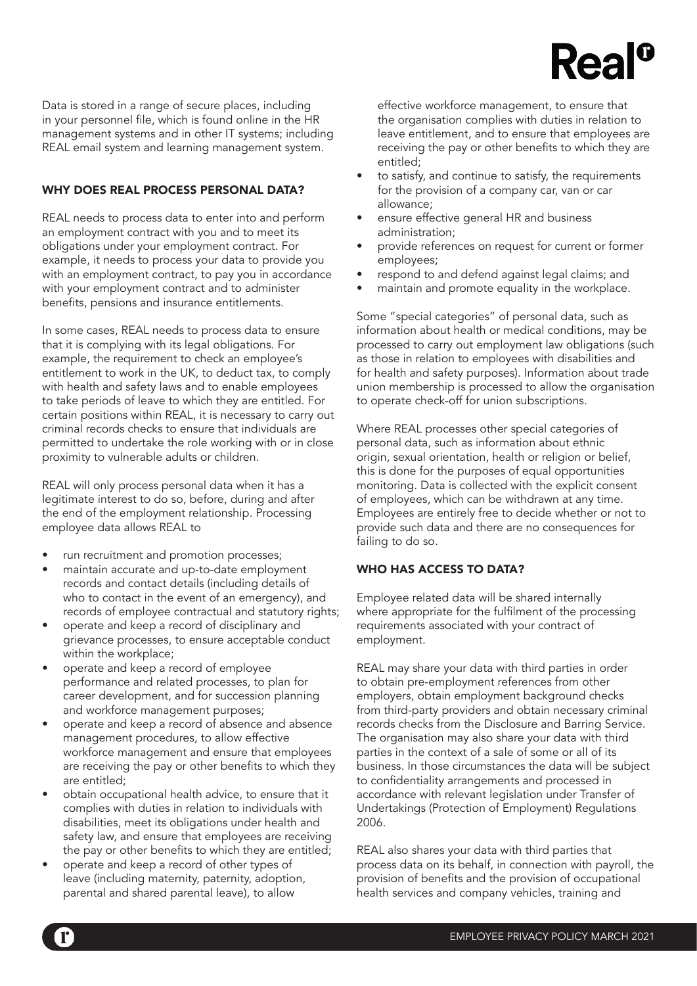## $Rea$ <sup>c</sup>

Data is stored in a range of secure places, including in your personnel file, which is found online in the HR management systems and in other IT systems; including REAL email system and learning management system.

#### WHY DOES REAL PROCESS PERSONAL DATA?

REAL needs to process data to enter into and perform an employment contract with you and to meet its obligations under your employment contract. For example, it needs to process your data to provide you with an employment contract, to pay you in accordance with your employment contract and to administer benefits, pensions and insurance entitlements.

In some cases, REAL needs to process data to ensure that it is complying with its legal obligations. For example, the requirement to check an employee's entitlement to work in the UK, to deduct tax, to comply with health and safety laws and to enable employees to take periods of leave to which they are entitled. For certain positions within REAL, it is necessary to carry out criminal records checks to ensure that individuals are permitted to undertake the role working with or in close proximity to vulnerable adults or children.

REAL will only process personal data when it has a legitimate interest to do so, before, during and after the end of the employment relationship. Processing employee data allows REAL to

- run recruitment and promotion processes;
- maintain accurate and up-to-date employment records and contact details (including details of who to contact in the event of an emergency), and records of employee contractual and statutory rights;
- operate and keep a record of disciplinary and grievance processes, to ensure acceptable conduct within the workplace;
- operate and keep a record of employee performance and related processes, to plan for career development, and for succession planning and workforce management purposes;
- operate and keep a record of absence and absence management procedures, to allow effective workforce management and ensure that employees are receiving the pay or other benefits to which they are entitled;
- obtain occupational health advice, to ensure that it complies with duties in relation to individuals with disabilities, meet its obligations under health and safety law, and ensure that employees are receiving the pay or other benefits to which they are entitled;
- operate and keep a record of other types of leave (including maternity, paternity, adoption, parental and shared parental leave), to allow

effective workforce management, to ensure that the organisation complies with duties in relation to leave entitlement, and to ensure that employees are receiving the pay or other benefits to which they are entitled;

- to satisfy, and continue to satisfy, the requirements for the provision of a company car, van or car allowance;
- ensure effective general HR and business administration;
- provide references on request for current or former employees;
- respond to and defend against legal claims; and
- maintain and promote equality in the workplace.

Some "special categories" of personal data, such as information about health or medical conditions, may be processed to carry out employment law obligations (such as those in relation to employees with disabilities and for health and safety purposes). Information about trade union membership is processed to allow the organisation to operate check-off for union subscriptions.

Where REAL processes other special categories of personal data, such as information about ethnic origin, sexual orientation, health or religion or belief, this is done for the purposes of equal opportunities monitoring. Data is collected with the explicit consent of employees, which can be withdrawn at any time. Employees are entirely free to decide whether or not to provide such data and there are no consequences for failing to do so.

#### WHO HAS ACCESS TO DATA?

Employee related data will be shared internally where appropriate for the fulfilment of the processing requirements associated with your contract of employment.

REAL may share your data with third parties in order to obtain pre-employment references from other employers, obtain employment background checks from third-party providers and obtain necessary criminal records checks from the Disclosure and Barring Service. The organisation may also share your data with third parties in the context of a sale of some or all of its business. In those circumstances the data will be subject to confidentiality arrangements and processed in accordance with relevant legislation under Transfer of Undertakings (Protection of Employment) Regulations 2006.

REAL also shares your data with third parties that process data on its behalf, in connection with payroll, the provision of benefits and the provision of occupational health services and company vehicles, training and